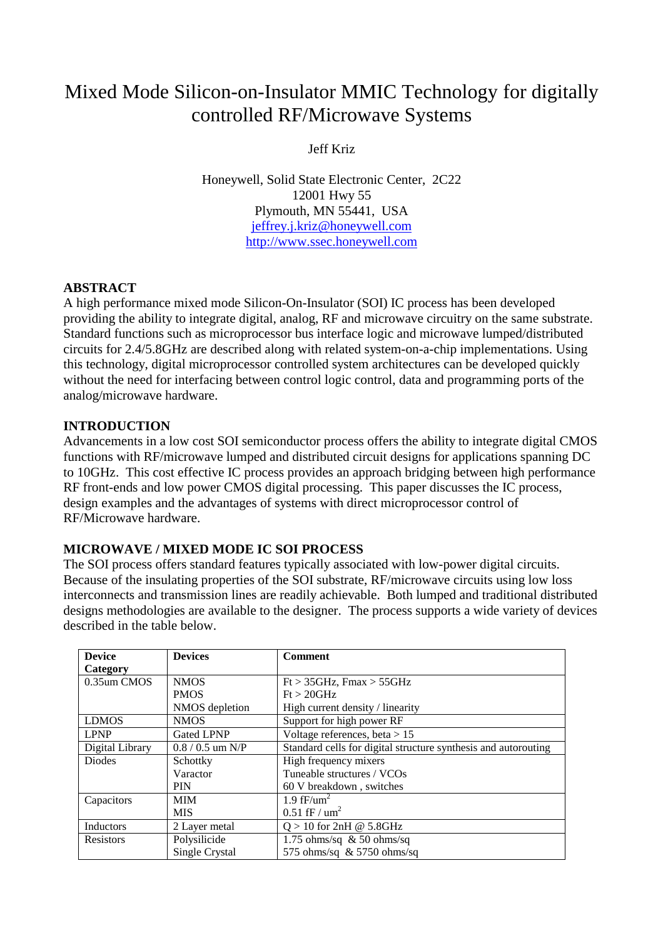# Mixed Mode Silicon-on-Insulator MMIC Technology for digitally controlled RF/Microwave Systems

Jeff Kriz

Honeywell, Solid State Electronic Center, 2C22 12001 Hwy 55 Plymouth, MN 55441, USA [jeffrey.j.kriz@honeywell.com](mailto:jeffrey.j.kriz@honeywell.com) [http://www.ssec.honeywell.com](http://www.ssec.honeywell.com/)

## **ABSTRACT**

A high performance mixed mode Silicon-On-Insulator (SOI) IC process has been developed providing the ability to integrate digital, analog, RF and microwave circuitry on the same substrate. Standard functions such as microprocessor bus interface logic and microwave lumped/distributed circuits for 2.4/5.8GHz are described along with related system-on-a-chip implementations. Using this technology, digital microprocessor controlled system architectures can be developed quickly without the need for interfacing between control logic control, data and programming ports of the analog/microwave hardware.

# **INTRODUCTION**

Advancements in a low cost SOI semiconductor process offers the ability to integrate digital CMOS functions with RF/microwave lumped and distributed circuit designs for applications spanning DC to 10GHz. This cost effective IC process provides an approach bridging between high performance RF front-ends and low power CMOS digital processing. This paper discusses the IC process, design examples and the advantages of systems with direct microprocessor control of RF/Microwave hardware.

# **MICROWAVE / MIXED MODE IC SOI PROCESS**

The SOI process offers standard features typically associated with low-power digital circuits. Because of the insulating properties of the SOI substrate, RF/microwave circuits using low loss interconnects and transmission lines are readily achievable. Both lumped and traditional distributed designs methodologies are available to the designer. The process supports a wide variety of devices described in the table below.

| <b>Device</b>    | <b>Devices</b>     | <b>Comment</b>                                                 |
|------------------|--------------------|----------------------------------------------------------------|
| Category         |                    |                                                                |
| 0.35um CMOS      | <b>NMOS</b>        | $Ft > 35$ GHz, Fmax $> 55$ GHz                                 |
|                  | <b>PMOS</b>        | Ft > 20 GHz                                                    |
|                  | NMOS depletion     | High current density / linearity                               |
| <b>LDMOS</b>     | <b>NMOS</b>        | Support for high power RF                                      |
| <b>LPNP</b>      | <b>Gated LPNP</b>  | Voltage references, beta $> 15$                                |
| Digital Library  | $0.8 / 0.5$ um N/P | Standard cells for digital structure synthesis and autorouting |
| <b>Diodes</b>    | Schottky           | High frequency mixers                                          |
|                  | Varactor           | Tuneable structures / VCOs                                     |
|                  | <b>PIN</b>         | 60 V breakdown, switches                                       |
| Capacitors       | <b>MIM</b>         | 1.9 fF/um <sup>2</sup>                                         |
|                  | <b>MIS</b>         | $0.51$ fF / $\text{um}^2$                                      |
| Inductors        | 2 Layer metal      | $Q > 10$ for 2nH @ 5.8GHz                                      |
| <b>Resistors</b> | Polysilicide       | 1.75 ohms/sq $\&$ 50 ohms/sq                                   |
|                  | Single Crystal     | 575 ohms/sq $& 5750$ ohms/sq                                   |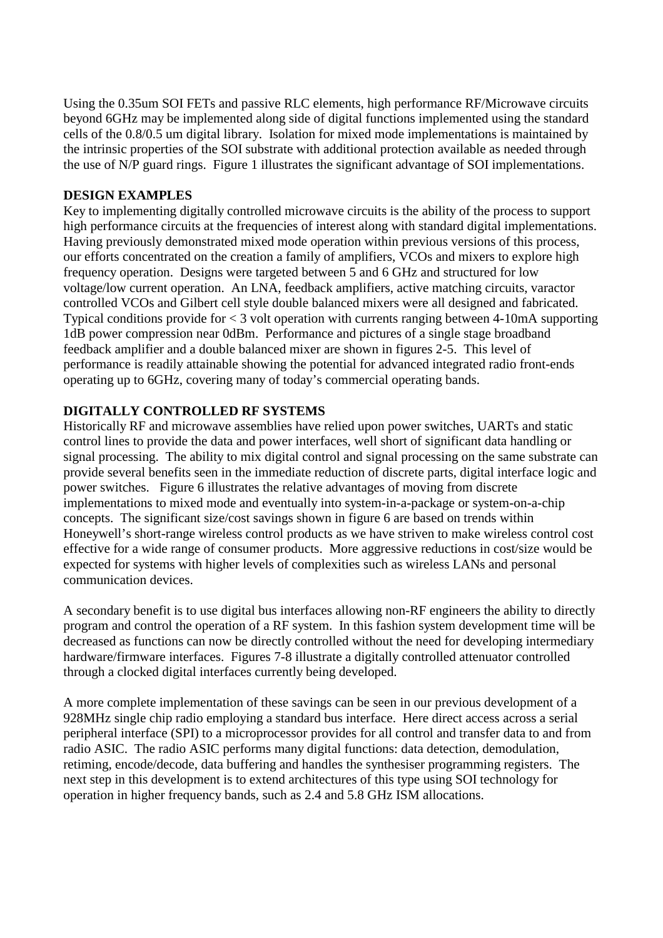Using the 0.35um SOI FETs and passive RLC elements, high performance RF/Microwave circuits beyond 6GHz may be implemented along side of digital functions implemented using the standard cells of the 0.8/0.5 um digital library. Isolation for mixed mode implementations is maintained by the intrinsic properties of the SOI substrate with additional protection available as needed through the use of N/P guard rings. Figure 1 illustrates the significant advantage of SOI implementations.

#### **DESIGN EXAMPLES**

Key to implementing digitally controlled microwave circuits is the ability of the process to support high performance circuits at the frequencies of interest along with standard digital implementations. Having previously demonstrated mixed mode operation within previous versions of this process, our efforts concentrated on the creation a family of amplifiers, VCOs and mixers to explore high frequency operation. Designs were targeted between 5 and 6 GHz and structured for low voltage/low current operation. An LNA, feedback amplifiers, active matching circuits, varactor controlled VCOs and Gilbert cell style double balanced mixers were all designed and fabricated. Typical conditions provide for < 3 volt operation with currents ranging between 4-10mA supporting 1dB power compression near 0dBm. Performance and pictures of a single stage broadband feedback amplifier and a double balanced mixer are shown in figures 2-5. This level of performance is readily attainable showing the potential for advanced integrated radio front-ends operating up to 6GHz, covering many of today's commercial operating bands.

## **DIGITALLY CONTROLLED RF SYSTEMS**

Historically RF and microwave assemblies have relied upon power switches, UARTs and static control lines to provide the data and power interfaces, well short of significant data handling or signal processing. The ability to mix digital control and signal processing on the same substrate can provide several benefits seen in the immediate reduction of discrete parts, digital interface logic and power switches. Figure 6 illustrates the relative advantages of moving from discrete implementations to mixed mode and eventually into system-in-a-package or system-on-a-chip concepts. The significant size/cost savings shown in figure 6 are based on trends within Honeywell's short-range wireless control products as we have striven to make wireless control cost effective for a wide range of consumer products. More aggressive reductions in cost/size would be expected for systems with higher levels of complexities such as wireless LANs and personal communication devices.

A secondary benefit is to use digital bus interfaces allowing non-RF engineers the ability to directly program and control the operation of a RF system. In this fashion system development time will be decreased as functions can now be directly controlled without the need for developing intermediary hardware/firmware interfaces. Figures 7-8 illustrate a digitally controlled attenuator controlled through a clocked digital interfaces currently being developed.

A more complete implementation of these savings can be seen in our previous development of a 928MHz single chip radio employing a standard bus interface. Here direct access across a serial peripheral interface (SPI) to a microprocessor provides for all control and transfer data to and from radio ASIC. The radio ASIC performs many digital functions: data detection, demodulation, retiming, encode/decode, data buffering and handles the synthesiser programming registers. The next step in this development is to extend architectures of this type using SOI technology for operation in higher frequency bands, such as 2.4 and 5.8 GHz ISM allocations.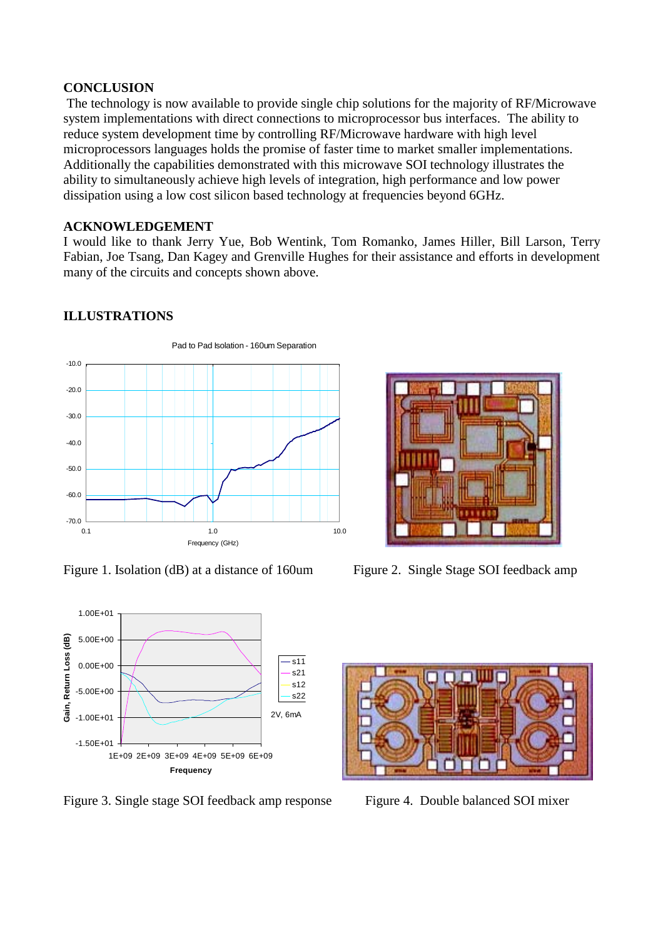#### **CONCLUSION**

The technology is now available to provide single chip solutions for the majority of RF/Microwave system implementations with direct connections to microprocessor bus interfaces. The ability to reduce system development time by controlling RF/Microwave hardware with high level microprocessors languages holds the promise of faster time to market smaller implementations. Additionally the capabilities demonstrated with this microwave SOI technology illustrates the ability to simultaneously achieve high levels of integration, high performance and low power dissipation using a low cost silicon based technology at frequencies beyond 6GHz.

#### **ACKNOWLEDGEMENT**

I would like to thank Jerry Yue, Bob Wentink, Tom Romanko, James Hiller, Bill Larson, Terry Fabian, Joe Tsang, Dan Kagey and Grenville Hughes for their assistance and efforts in development many of the circuits and concepts shown above.

## **ILLUSTRATIONS**



Figure 1. Isolation (dB) at a distance of 160um Figure 2. Single Stage SOI feedback amp



Figure 3. Single stage SOI feedback amp response Figure 4. Double balanced SOI mixer